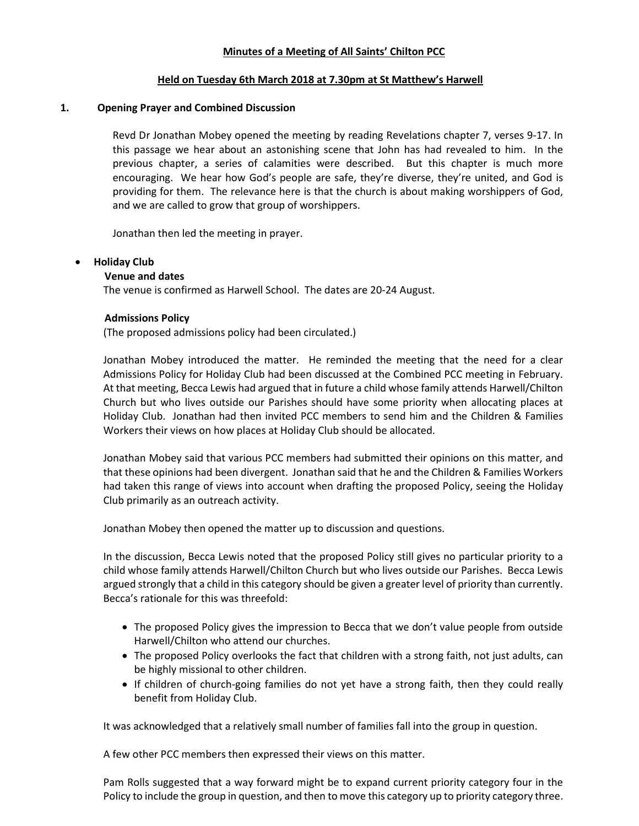#### Minutes of a Meeting of All Saints' Chilton PCC

#### Held on Tuesday 6th March 2018 at 7.30pm at St Matthew's Harwell

#### 1. Opening Prayer and Combined Discussion

Revd Dr Jonathan Mobey opened the meeting by reading Revelations chapter 7, verses 9-17. In this passage we hear about an astonishing scene that John has had revealed to him. In the previous chapter, a series of calamities were described. But this chapter is much more encouraging. We hear how God's people are safe, they're diverse, they're united, and God is providing for them. The relevance here is that the church is about making worshippers of God, and we are called to grow that group of worshippers.

Jonathan then led the meeting in prayer.

#### Holiday Club

### Venue and dates

The venue is confirmed as Harwell School. The dates are 20-24 August.

#### Admissions Policy

(The proposed admissions policy had been circulated.)

Jonathan Mobey introduced the matter. He reminded the meeting that the need for a clear Admissions Policy for Holiday Club had been discussed at the Combined PCC meeting in February. At that meeting, Becca Lewis had argued that in future a child whose family attends Harwell/Chilton Church but who lives outside our Parishes should have some priority when allocating places at Holiday Club. Jonathan had then invited PCC members to send him and the Children & Families Workers their views on how places at Holiday Club should be allocated.

Jonathan Mobey said that various PCC members had submitted their opinions on this matter, and that these opinions had been divergent. Jonathan said that he and the Children & Families Workers had taken this range of views into account when drafting the proposed Policy, seeing the Holiday Club primarily as an outreach activity.

Jonathan Mobey then opened the matter up to discussion and questions.

In the discussion, Becca Lewis noted that the proposed Policy still gives no particular priority to a child whose family attends Harwell/Chilton Church but who lives outside our Parishes. Becca Lewis argued strongly that a child in this category should be given a greater level of priority than currently. Becca's rationale for this was threefold:

- The proposed Policy gives the impression to Becca that we don't value people from outside Harwell/Chilton who attend our churches.
- The proposed Policy overlooks the fact that children with a strong faith, not just adults, can be highly missional to other children.
- If children of church-going families do not yet have a strong faith, then they could really benefit from Holiday Club.

It was acknowledged that a relatively small number of families fall into the group in question.

A few other PCC members then expressed their views on this matter.

Pam Rolls suggested that a way forward might be to expand current priority category four in the Policy to include the group in question, and then to move this category up to priority category three.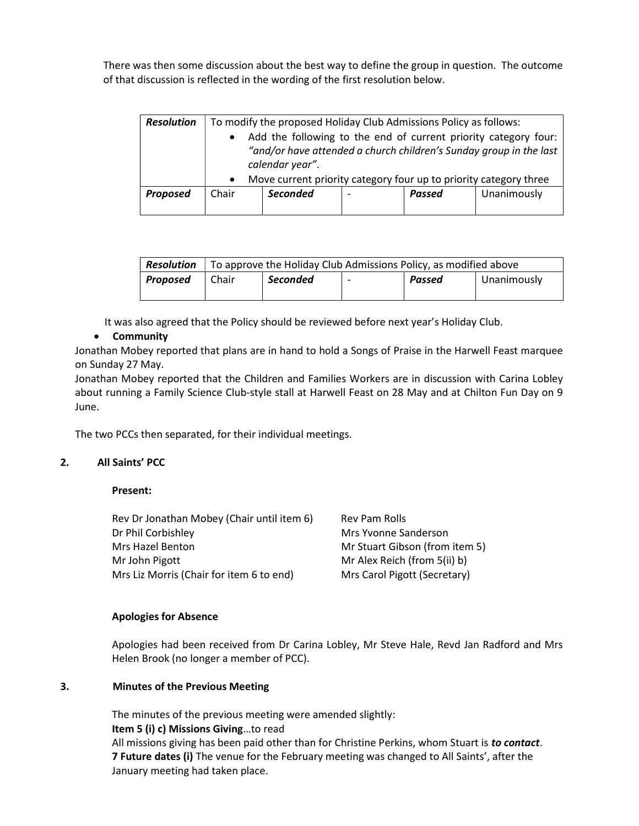There was then some discussion about the best way to define the group in question. The outcome of that discussion is reflected in the wording of the first resolution below.

| <b>Resolution</b> | $\bullet$<br>$\bullet$ | To modify the proposed Holiday Club Admissions Policy as follows:<br>Add the following to the end of current priority category four:<br>"and/or have attended a church children's Sunday group in the last<br>calendar year".<br>Move current priority category four up to priority category three |  |        |             |  |  |
|-------------------|------------------------|----------------------------------------------------------------------------------------------------------------------------------------------------------------------------------------------------------------------------------------------------------------------------------------------------|--|--------|-------------|--|--|
| <b>Proposed</b>   | Chair                  | <b>Seconded</b>                                                                                                                                                                                                                                                                                    |  | Passed | Unanimously |  |  |

| Resolution      | To approve the Holiday Club Admissions Policy, as modified above |                 |  |        |             |
|-----------------|------------------------------------------------------------------|-----------------|--|--------|-------------|
| <b>Proposed</b> | Chair                                                            | <b>Seconded</b> |  | Passed | Unanimously |

It was also agreed that the Policy should be reviewed before next year's Holiday Club.

# **•** Community

Jonathan Mobey reported that plans are in hand to hold a Songs of Praise in the Harwell Feast marquee on Sunday 27 May.

Jonathan Mobey reported that the Children and Families Workers are in discussion with Carina Lobley about running a Family Science Club-style stall at Harwell Feast on 28 May and at Chilton Fun Day on 9 June.

The two PCCs then separated, for their individual meetings.

# 2. All Saints' PCC

Present:

| Rev Dr Jonathan Mobey (Chair until item 6) | Rev Pam Rolls                  |
|--------------------------------------------|--------------------------------|
| Dr Phil Corbishley                         | Mrs Yvonne Sanderson           |
| Mrs Hazel Benton                           | Mr Stuart Gibson (from item 5) |
| Mr John Pigott                             | Mr Alex Reich (from 5(ii) b)   |
| Mrs Liz Morris (Chair for item 6 to end)   | Mrs Carol Pigott (Secretary)   |

### Apologies for Absence

Apologies had been received from Dr Carina Lobley, Mr Steve Hale, Revd Jan Radford and Mrs Helen Brook (no longer a member of PCC).

### 3. Minutes of the Previous Meeting

The minutes of the previous meeting were amended slightly: Item 5 (i) c) Missions Giving…to read All missions giving has been paid other than for Christine Perkins, whom Stuart is to contact. 7 Future dates (i) The venue for the February meeting was changed to All Saints', after the January meeting had taken place.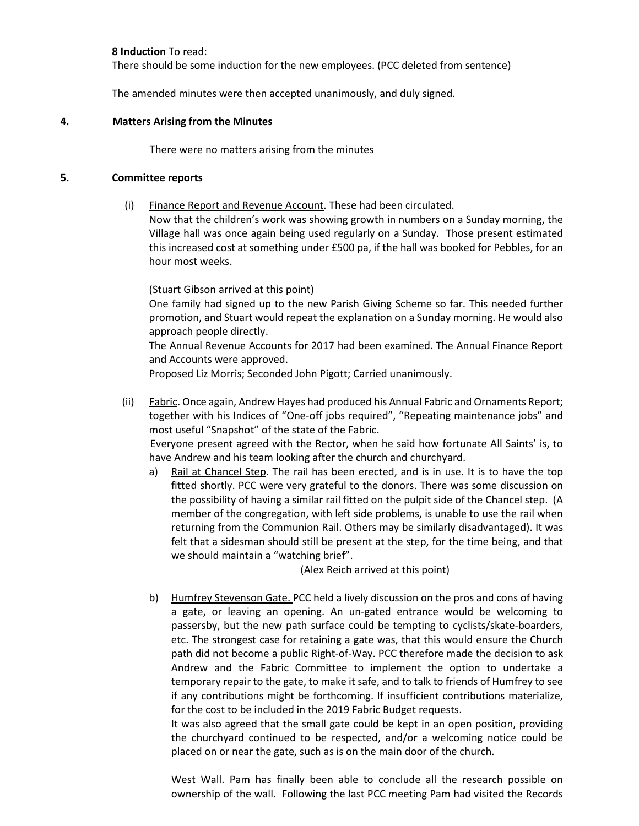#### 8 Induction To read:

There should be some induction for the new employees. (PCC deleted from sentence)

The amended minutes were then accepted unanimously, and duly signed.

#### 4. Matters Arising from the Minutes

There were no matters arising from the minutes

#### 5. Committee reports

(i) Finance Report and Revenue Account. These had been circulated.

Now that the children's work was showing growth in numbers on a Sunday morning, the Village hall was once again being used regularly on a Sunday. Those present estimated this increased cost at something under £500 pa, if the hall was booked for Pebbles, for an hour most weeks.

(Stuart Gibson arrived at this point)

One family had signed up to the new Parish Giving Scheme so far. This needed further promotion, and Stuart would repeat the explanation on a Sunday morning. He would also approach people directly.

The Annual Revenue Accounts for 2017 had been examined. The Annual Finance Report and Accounts were approved.

Proposed Liz Morris; Seconded John Pigott; Carried unanimously.

(ii) Fabric. Once again, Andrew Hayes had produced his Annual Fabric and Ornaments Report; together with his Indices of "One-off jobs required", "Repeating maintenance jobs" and most useful "Snapshot" of the state of the Fabric.

Everyone present agreed with the Rector, when he said how fortunate All Saints' is, to have Andrew and his team looking after the church and churchyard.

a) Rail at Chancel Step. The rail has been erected, and is in use. It is to have the top fitted shortly. PCC were very grateful to the donors. There was some discussion on the possibility of having a similar rail fitted on the pulpit side of the Chancel step. (A member of the congregation, with left side problems, is unable to use the rail when returning from the Communion Rail. Others may be similarly disadvantaged). It was felt that a sidesman should still be present at the step, for the time being, and that we should maintain a "watching brief".

(Alex Reich arrived at this point)

b) Humfrey Stevenson Gate. PCC held a lively discussion on the pros and cons of having a gate, or leaving an opening. An un-gated entrance would be welcoming to passersby, but the new path surface could be tempting to cyclists/skate-boarders, etc. The strongest case for retaining a gate was, that this would ensure the Church path did not become a public Right-of-Way. PCC therefore made the decision to ask Andrew and the Fabric Committee to implement the option to undertake a temporary repair to the gate, to make it safe, and to talk to friends of Humfrey to see if any contributions might be forthcoming. If insufficient contributions materialize, for the cost to be included in the 2019 Fabric Budget requests.

It was also agreed that the small gate could be kept in an open position, providing the churchyard continued to be respected, and/or a welcoming notice could be placed on or near the gate, such as is on the main door of the church.

West Wall. Pam has finally been able to conclude all the research possible on ownership of the wall. Following the last PCC meeting Pam had visited the Records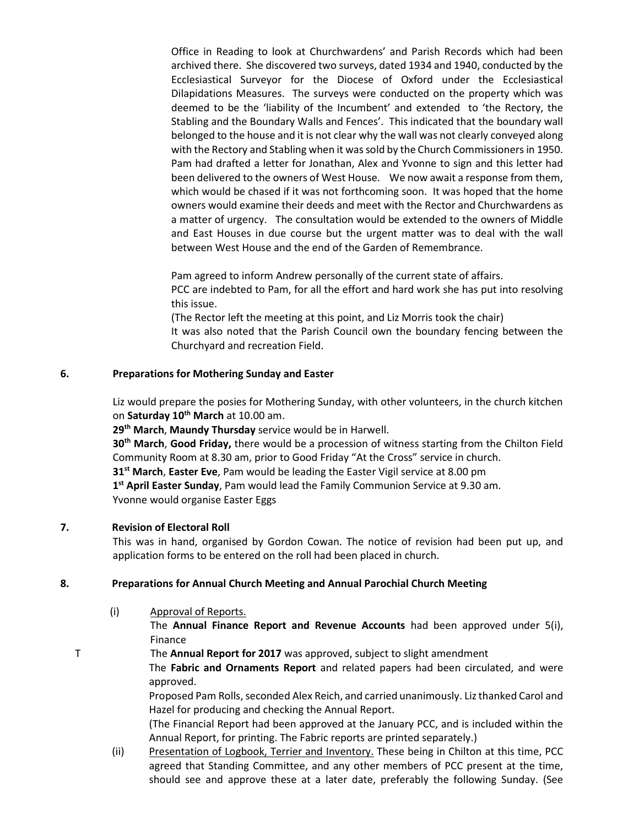Office in Reading to look at Churchwardens' and Parish Records which had been archived there. She discovered two surveys, dated 1934 and 1940, conducted by the Ecclesiastical Surveyor for the Diocese of Oxford under the Ecclesiastical Dilapidations Measures. The surveys were conducted on the property which was deemed to be the 'liability of the Incumbent' and extended to 'the Rectory, the Stabling and the Boundary Walls and Fences'. This indicated that the boundary wall belonged to the house and it is not clear why the wall was not clearly conveyed along with the Rectory and Stabling when it was sold by the Church Commissioners in 1950. Pam had drafted a letter for Jonathan, Alex and Yvonne to sign and this letter had been delivered to the owners of West House. We now await a response from them, which would be chased if it was not forthcoming soon. It was hoped that the home owners would examine their deeds and meet with the Rector and Churchwardens as a matter of urgency. The consultation would be extended to the owners of Middle and East Houses in due course but the urgent matter was to deal with the wall between West House and the end of the Garden of Remembrance.

Pam agreed to inform Andrew personally of the current state of affairs.

PCC are indebted to Pam, for all the effort and hard work she has put into resolving this issue.

(The Rector left the meeting at this point, and Liz Morris took the chair) It was also noted that the Parish Council own the boundary fencing between the Churchyard and recreation Field.

### 6. Preparations for Mothering Sunday and Easter

Liz would prepare the posies for Mothering Sunday, with other volunteers, in the church kitchen on Saturday 10<sup>th</sup> March at 10.00 am.

29<sup>th</sup> March, Maundy Thursday service would be in Harwell.

30<sup>th</sup> March, Good Friday, there would be a procession of witness starting from the Chilton Field Community Room at 8.30 am, prior to Good Friday "At the Cross" service in church.  $31<sup>st</sup>$  March, Easter Eve, Pam would be leading the Easter Vigil service at 8.00 pm 1<sup>st</sup> April Easter Sunday, Pam would lead the Family Communion Service at 9.30 am. Yvonne would organise Easter Eggs

### 7. Revision of Electoral Roll

This was in hand, organised by Gordon Cowan. The notice of revision had been put up, and application forms to be entered on the roll had been placed in church.

### 8. Preparations for Annual Church Meeting and Annual Parochial Church Meeting

(i) Approval of Reports.

 The Annual Finance Report and Revenue Accounts had been approved under 5(i), Finance

T The Annual Report for 2017 was approved, subject to slight amendment

The Fabric and Ornaments Report and related papers had been circulated, and were approved.

Proposed Pam Rolls, seconded Alex Reich, and carried unanimously. Liz thanked Carol and Hazel for producing and checking the Annual Report.

(The Financial Report had been approved at the January PCC, and is included within the Annual Report, for printing. The Fabric reports are printed separately.)

(ii) Presentation of Logbook, Terrier and Inventory. These being in Chilton at this time, PCC agreed that Standing Committee, and any other members of PCC present at the time, should see and approve these at a later date, preferably the following Sunday. (See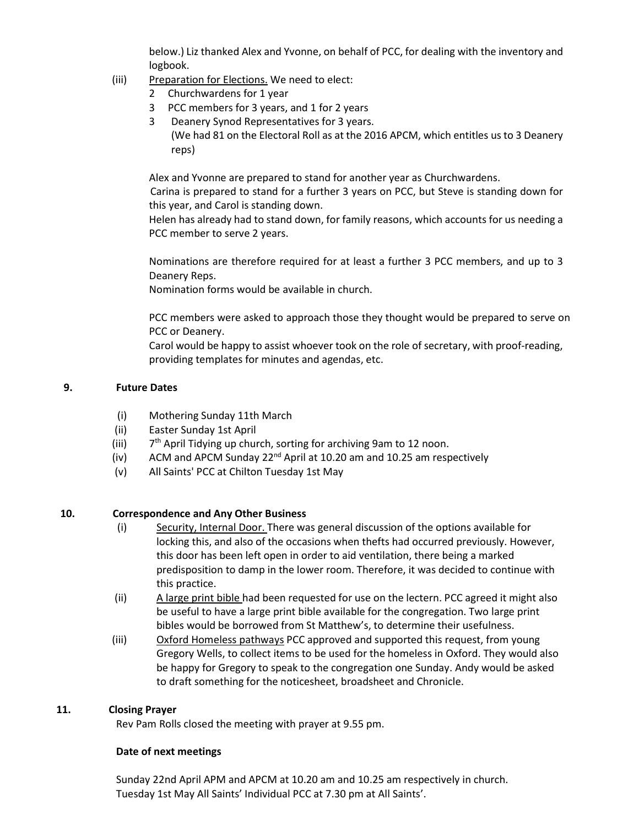below.) Liz thanked Alex and Yvonne, on behalf of PCC, for dealing with the inventory and logbook.

- (iii) Preparation for Elections. We need to elect:
	- 2 Churchwardens for 1 year
	- 3 PCC members for 3 years, and 1 for 2 years
	- 3 Deanery Synod Representatives for 3 years. (We had 81 on the Electoral Roll as at the 2016 APCM, which entitles us to 3 Deanery reps)

Alex and Yvonne are prepared to stand for another year as Churchwardens.

 Carina is prepared to stand for a further 3 years on PCC, but Steve is standing down for this year, and Carol is standing down.

Helen has already had to stand down, for family reasons, which accounts for us needing a PCC member to serve 2 years.

Nominations are therefore required for at least a further 3 PCC members, and up to 3 Deanery Reps.

Nomination forms would be available in church.

PCC members were asked to approach those they thought would be prepared to serve on PCC or Deanery.

Carol would be happy to assist whoever took on the role of secretary, with proof-reading, providing templates for minutes and agendas, etc.

#### 9. Future Dates

- (i) Mothering Sunday 11th March
- (ii) Easter Sunday 1st April
- (iii) 7  $7<sup>th</sup>$  April Tidying up church, sorting for archiving 9am to 12 noon.
- (iv) ACM and APCM Sunday  $22^{nd}$  April at 10.20 am and 10.25 am respectively
- (v) All Saints' PCC at Chilton Tuesday 1st May

### 10. Correspondence and Any Other Business

- (i) Security, Internal Door. There was general discussion of the options available for locking this, and also of the occasions when thefts had occurred previously. However, this door has been left open in order to aid ventilation, there being a marked predisposition to damp in the lower room. Therefore, it was decided to continue with this practice.
- (ii) A large print bible had been requested for use on the lectern. PCC agreed it might also be useful to have a large print bible available for the congregation. Two large print bibles would be borrowed from St Matthew's, to determine their usefulness.
- (iii) Oxford Homeless pathways PCC approved and supported this request, from young Gregory Wells, to collect items to be used for the homeless in Oxford. They would also be happy for Gregory to speak to the congregation one Sunday. Andy would be asked to draft something for the noticesheet, broadsheet and Chronicle.

#### 11. Closing Prayer

Rev Pam Rolls closed the meeting with prayer at 9.55 pm.

### Date of next meetings

Sunday 22nd April APM and APCM at 10.20 am and 10.25 am respectively in church. Tuesday 1st May All Saints' Individual PCC at 7.30 pm at All Saints'.